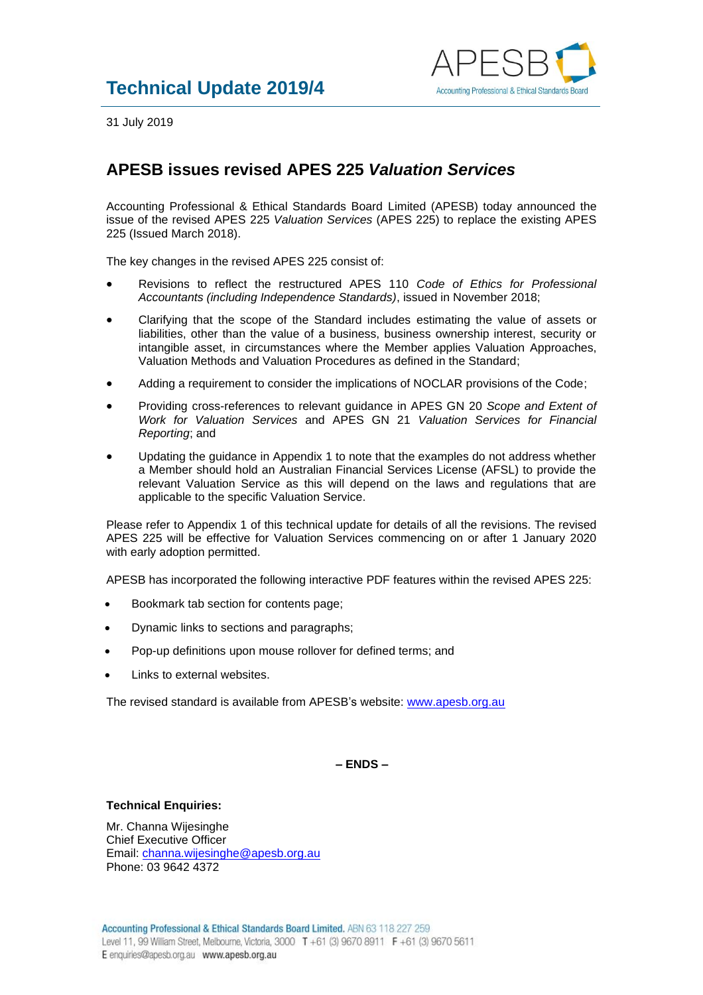

31 July 2019

## **APESB issues revised APES 225** *Valuation Services*

Accounting Professional & Ethical Standards Board Limited (APESB) today announced the issue of the revised APES 225 *Valuation Services* (APES 225) to replace the existing APES 225 (Issued March 2018).

The key changes in the revised APES 225 consist of:

- Revisions to reflect the restructured APES 110 *Code of Ethics for Professional Accountants (including Independence Standards)*, issued in November 2018;
- Clarifying that the scope of the Standard includes estimating the value of assets or liabilities, other than the value of a business, business ownership interest, security or intangible asset, in circumstances where the Member applies Valuation Approaches, Valuation Methods and Valuation Procedures as defined in the Standard;
- Adding a requirement to consider the implications of NOCLAR provisions of the Code;
- Providing cross-references to relevant guidance in APES GN 20 *Scope and Extent of Work for Valuation Services* and APES GN 21 *Valuation Services for Financial Reporting*; and
- Updating the guidance in Appendix 1 to note that the examples do not address whether a Member should hold an Australian Financial Services License (AFSL) to provide the relevant Valuation Service as this will depend on the laws and regulations that are applicable to the specific Valuation Service.

Please refer to Appendix 1 of this technical update for details of all the revisions. The revised APES 225 will be effective for Valuation Services commencing on or after 1 January 2020 with early adoption permitted.

APESB has incorporated the following interactive PDF features within the revised APES 225:

- Bookmark tab section for contents page;
- Dynamic links to sections and paragraphs;
- Pop-up definitions upon mouse rollover for defined terms; and
- Links to external websites.

The revised standard is available from APESB's website: [www.apesb.org.au](http://www.apesb.org.au/)

**– ENDS –**

## **Technical Enquiries:**

Mr. Channa Wijesinghe Chief Executive Officer Email: [channa.wijesinghe@apesb.org.au](mailto:channa.wijesinghe@apesb.org.au) Phone: 03 9642 4372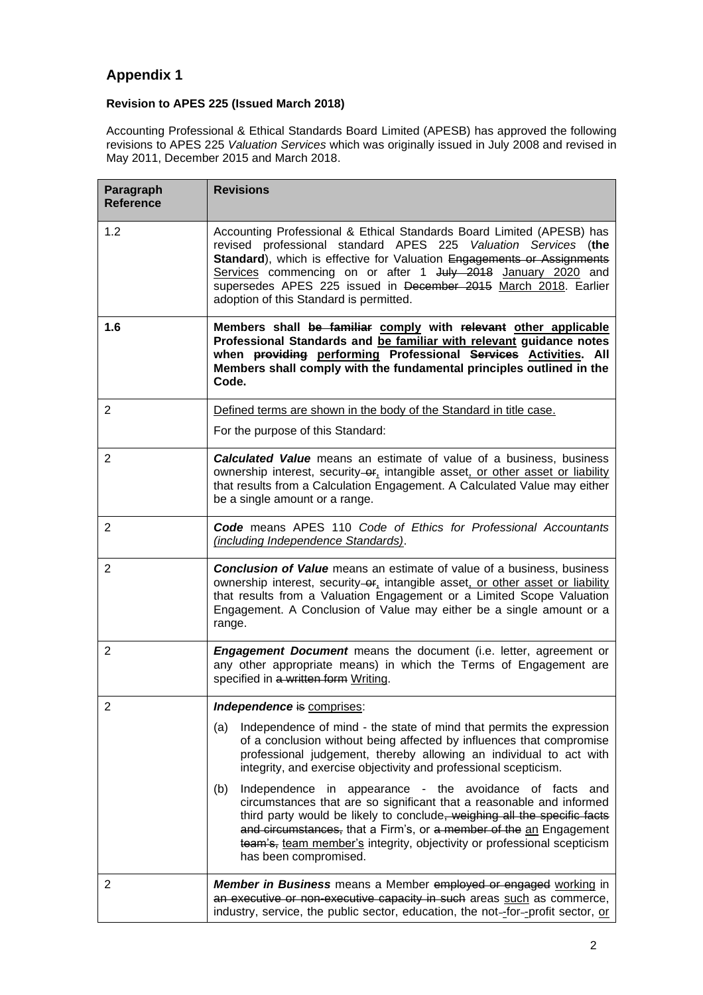## **Appendix 1**

## **Revision to APES 225 (Issued March 2018)**

Accounting Professional & Ethical Standards Board Limited (APESB) has approved the following revisions to APES 225 *Valuation Services* which was originally issued in July 2008 and revised in May 2011, December 2015 and March 2018.

| Paragraph<br><b>Reference</b> | <b>Revisions</b>                                                                                                                                                                                                                                                                                                                                                                                |
|-------------------------------|-------------------------------------------------------------------------------------------------------------------------------------------------------------------------------------------------------------------------------------------------------------------------------------------------------------------------------------------------------------------------------------------------|
| 1.2                           | Accounting Professional & Ethical Standards Board Limited (APESB) has<br>revised professional standard APES 225 Valuation Services (the<br>Standard), which is effective for Valuation Engagements or Assignments<br>Services commencing on or after 1 July 2018 January 2020 and<br>supersedes APES 225 issued in December 2015 March 2018. Earlier<br>adoption of this Standard is permitted. |
| 1.6                           | Members shall be familiar comply with relevant other applicable<br>Professional Standards and be familiar with relevant guidance notes<br>when providing performing Professional Services Activities. All<br>Members shall comply with the fundamental principles outlined in the<br>Code.                                                                                                      |
| $\overline{2}$                | Defined terms are shown in the body of the Standard in title case.                                                                                                                                                                                                                                                                                                                              |
|                               | For the purpose of this Standard:                                                                                                                                                                                                                                                                                                                                                               |
| $\overline{2}$                | <b>Calculated Value</b> means an estimate of value of a business, business<br>ownership interest, security-or, intangible asset, or other asset or liability<br>that results from a Calculation Engagement. A Calculated Value may either<br>be a single amount or a range.                                                                                                                     |
| $\overline{2}$                | Code means APES 110 Code of Ethics for Professional Accountants<br>(including Independence Standards).                                                                                                                                                                                                                                                                                          |
| $\overline{2}$                | <b>Conclusion of Value</b> means an estimate of value of a business, business<br>ownership interest, security-or, intangible asset, or other asset or liability<br>that results from a Valuation Engagement or a Limited Scope Valuation<br>Engagement. A Conclusion of Value may either be a single amount or a<br>range.                                                                      |
| $\overline{2}$                | <b>Engagement Document</b> means the document (i.e. letter, agreement or<br>any other appropriate means) in which the Terms of Engagement are<br>specified in a written form Writing.                                                                                                                                                                                                           |
| $\overline{2}$                | Independence is comprises:                                                                                                                                                                                                                                                                                                                                                                      |
|                               | Independence of mind - the state of mind that permits the expression<br>(a)<br>of a conclusion without being affected by influences that compromise<br>professional judgement, thereby allowing an individual to act with<br>integrity, and exercise objectivity and professional scepticism.                                                                                                   |
|                               | Independence in appearance - the avoidance of facts and<br>(b)<br>circumstances that are so significant that a reasonable and informed<br>third party would be likely to conclude, weighing all the specific facts<br>and circumstances, that a Firm's, or a member of the an Engagement<br>team's, team member's integrity, objectivity or professional scepticism<br>has been compromised.    |
| $\overline{2}$                | <b>Member in Business</b> means a Member employed or engaged working in<br>an executive or non-executive capacity in such areas such as commerce,<br>industry, service, the public sector, education, the not-for-profit sector, or                                                                                                                                                             |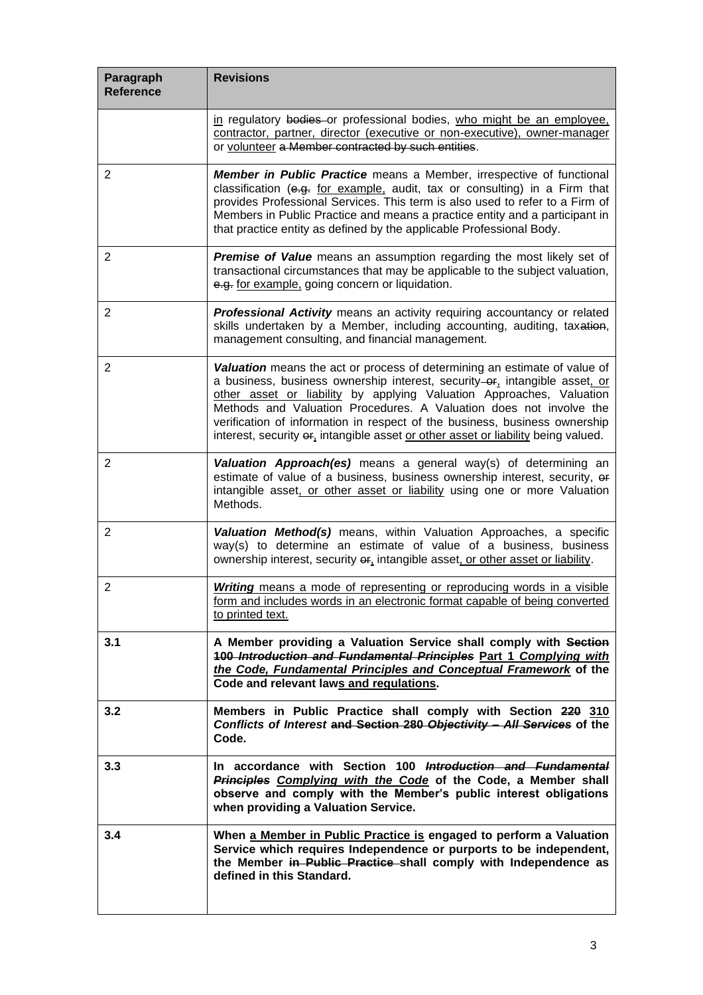| Paragraph<br><b>Reference</b> | <b>Revisions</b>                                                                                                                                                                                                                                                                                                                                                                                                                                                            |
|-------------------------------|-----------------------------------------------------------------------------------------------------------------------------------------------------------------------------------------------------------------------------------------------------------------------------------------------------------------------------------------------------------------------------------------------------------------------------------------------------------------------------|
|                               | in regulatory bodies or professional bodies, who might be an employee,<br>contractor, partner, director (executive or non-executive), owner-manager<br>or volunteer a Member contracted by such entities.                                                                                                                                                                                                                                                                   |
| $\overline{2}$                | <b>Member in Public Practice</b> means a Member, irrespective of functional<br>classification (e.g. for example, audit, tax or consulting) in a Firm that<br>provides Professional Services. This term is also used to refer to a Firm of<br>Members in Public Practice and means a practice entity and a participant in<br>that practice entity as defined by the applicable Professional Body.                                                                            |
| 2                             | Premise of Value means an assumption regarding the most likely set of<br>transactional circumstances that may be applicable to the subject valuation,<br>e.g. for example, going concern or liquidation.                                                                                                                                                                                                                                                                    |
| $\overline{2}$                | Professional Activity means an activity requiring accountancy or related<br>skills undertaken by a Member, including accounting, auditing, taxation,<br>management consulting, and financial management.                                                                                                                                                                                                                                                                    |
| $\overline{2}$                | Valuation means the act or process of determining an estimate of value of<br>a business, business ownership interest, security-or, intangible asset, or<br>other asset or liability by applying Valuation Approaches, Valuation<br>Methods and Valuation Procedures. A Valuation does not involve the<br>verification of information in respect of the business, business ownership<br>interest, security $er_1$ intangible asset or other asset or liability being valued. |
| $\overline{2}$                | Valuation Approach(es) means a general way(s) of determining an<br>estimate of value of a business, business ownership interest, security, or<br>intangible asset, or other asset or liability using one or more Valuation<br>Methods.                                                                                                                                                                                                                                      |
| $\overline{2}$                | Valuation Method(s) means, within Valuation Approaches, a specific<br>way(s) to determine an estimate of value of a business, business<br>ownership interest, security or, intangible asset, or other asset or liability.                                                                                                                                                                                                                                                   |
| $\overline{c}$                | <b>Writing</b> means a mode of representing or reproducing words in a visible<br>form and includes words in an electronic format capable of being converted<br>to printed text.                                                                                                                                                                                                                                                                                             |
| 3.1                           | A Member providing a Valuation Service shall comply with Section<br>100 Introduction and Fundamental Principles Part 1 Complying with<br>the Code, Fundamental Principles and Conceptual Framework of the<br>Code and relevant laws and regulations.                                                                                                                                                                                                                        |
| 3.2                           | Members in Public Practice shall comply with Section 220 310<br>Conflicts of Interest and Section 280 Objectivity - All Services of the<br>Code.                                                                                                                                                                                                                                                                                                                            |
| 3.3                           | In accordance with Section 100 <i>Introduction and Fundamental</i><br>Principles Complying with the Code of the Code, a Member shall<br>observe and comply with the Member's public interest obligations<br>when providing a Valuation Service.                                                                                                                                                                                                                             |
| 3.4                           | When a Member in Public Practice is engaged to perform a Valuation<br>Service which requires Independence or purports to be independent,<br>the Member in Public Practice shall comply with Independence as<br>defined in this Standard.                                                                                                                                                                                                                                    |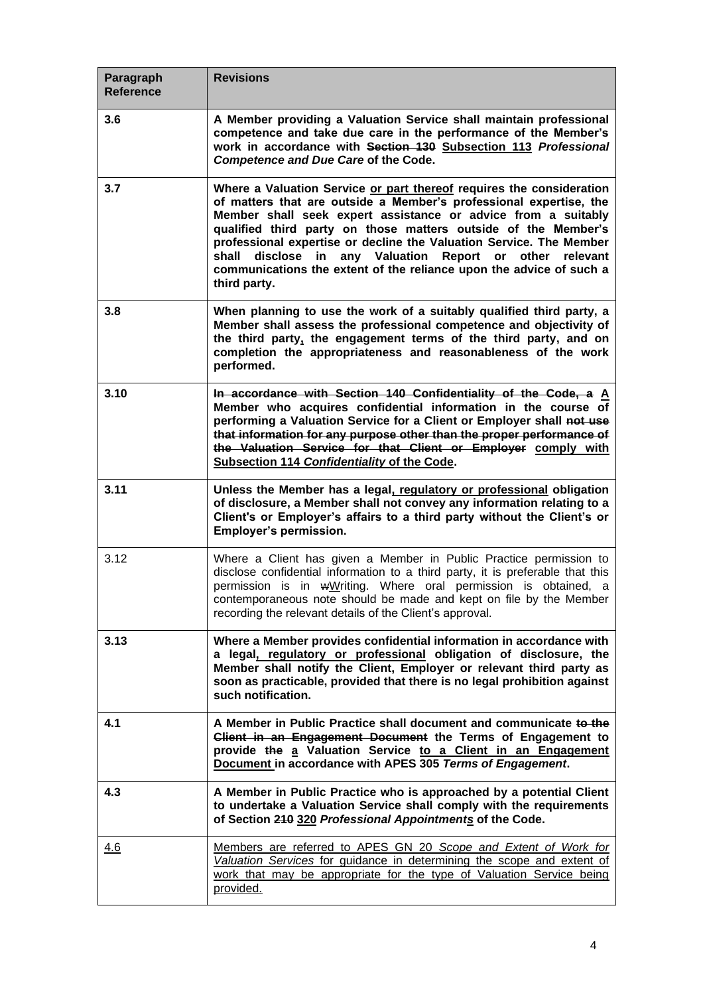| Paragraph<br><b>Reference</b> | <b>Revisions</b>                                                                                                                                                                                                                                                                                                                                                                                                                                                                                        |
|-------------------------------|---------------------------------------------------------------------------------------------------------------------------------------------------------------------------------------------------------------------------------------------------------------------------------------------------------------------------------------------------------------------------------------------------------------------------------------------------------------------------------------------------------|
| 3.6                           | A Member providing a Valuation Service shall maintain professional<br>competence and take due care in the performance of the Member's<br>work in accordance with Section 130 Subsection 113 Professional<br>Competence and Due Care of the Code.                                                                                                                                                                                                                                                        |
| 3.7                           | Where a Valuation Service or part thereof requires the consideration<br>of matters that are outside a Member's professional expertise, the<br>Member shall seek expert assistance or advice from a suitably<br>qualified third party on those matters outside of the Member's<br>professional expertise or decline the Valuation Service. The Member<br>shall disclose in any Valuation Report or other relevant<br>communications the extent of the reliance upon the advice of such a<br>third party. |
| 3.8                           | When planning to use the work of a suitably qualified third party, a<br>Member shall assess the professional competence and objectivity of<br>the third party, the engagement terms of the third party, and on<br>completion the appropriateness and reasonableness of the work<br>performed.                                                                                                                                                                                                           |
| 3.10                          | In accordance with Section 140 Confidentiality of the Code, a A<br>Member who acquires confidential information in the course of<br>performing a Valuation Service for a Client or Employer shall not use<br>that information for any purpose other than the proper performance of<br>the Valuation Service for that Client or Employer comply with<br>Subsection 114 Confidentiality of the Code.                                                                                                      |
| 3.11                          | Unless the Member has a legal, regulatory or professional obligation<br>of disclosure, a Member shall not convey any information relating to a<br>Client's or Employer's affairs to a third party without the Client's or<br>Employer's permission.                                                                                                                                                                                                                                                     |
| 3.12                          | Where a Client has given a Member in Public Practice permission to<br>disclose confidential information to a third party, it is preferable that this<br>permission is in wWriting. Where oral permission is obtained, a<br>contemporaneous note should be made and kept on file by the Member<br>recording the relevant details of the Client's approval.                                                                                                                                               |
| 3.13                          | Where a Member provides confidential information in accordance with<br>a legal, regulatory or professional obligation of disclosure, the<br>Member shall notify the Client, Employer or relevant third party as<br>soon as practicable, provided that there is no legal prohibition against<br>such notification.                                                                                                                                                                                       |
| 4.1                           | A Member in Public Practice shall document and communicate to the<br>Client in an Engagement Document the Terms of Engagement to<br>provide the a Valuation Service to a Client in an Engagement<br>Document in accordance with APES 305 Terms of Engagement.                                                                                                                                                                                                                                           |
| 4.3                           | A Member in Public Practice who is approached by a potential Client<br>to undertake a Valuation Service shall comply with the requirements<br>of Section 210 320 Professional Appointments of the Code.                                                                                                                                                                                                                                                                                                 |
| 4.6                           | Members are referred to APES GN 20 Scope and Extent of Work for<br>Valuation Services for guidance in determining the scope and extent of<br>work that may be appropriate for the type of Valuation Service being<br>provided.                                                                                                                                                                                                                                                                          |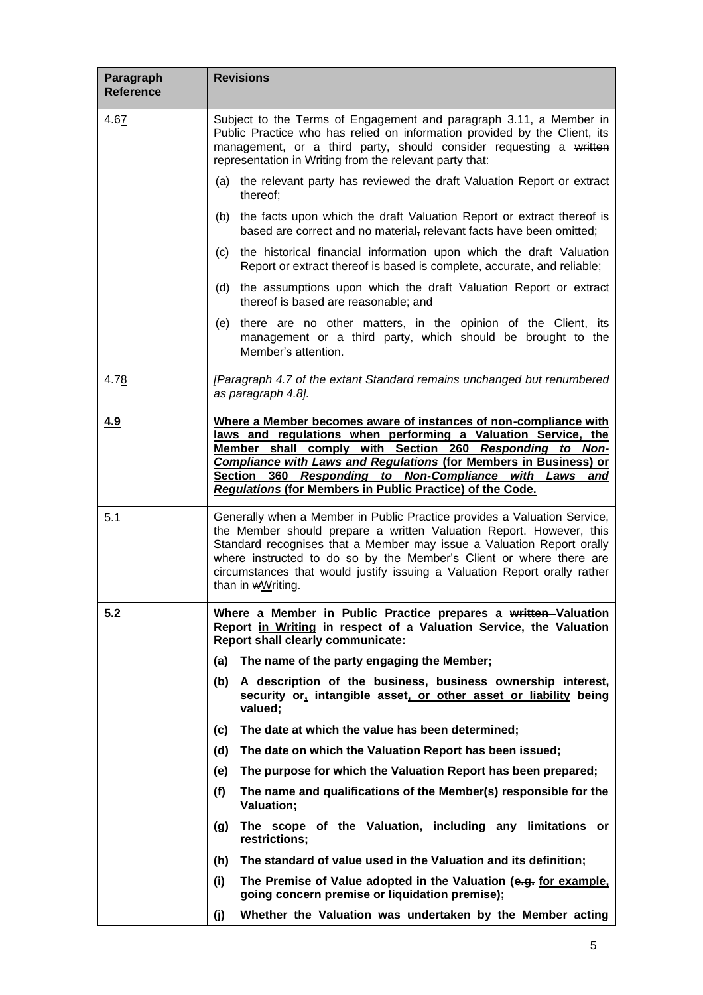| Paragraph<br><b>Reference</b> | <b>Revisions</b>                                                                                                                                                                                                                                                                                                                                                                                             |
|-------------------------------|--------------------------------------------------------------------------------------------------------------------------------------------------------------------------------------------------------------------------------------------------------------------------------------------------------------------------------------------------------------------------------------------------------------|
| 4.67                          | Subject to the Terms of Engagement and paragraph 3.11, a Member in<br>Public Practice who has relied on information provided by the Client, its<br>management, or a third party, should consider requesting a written<br>representation in Writing from the relevant party that:                                                                                                                             |
|                               | (a) the relevant party has reviewed the draft Valuation Report or extract<br>thereof:                                                                                                                                                                                                                                                                                                                        |
|                               | the facts upon which the draft Valuation Report or extract thereof is<br>(b)<br>based are correct and no material, relevant facts have been omitted;                                                                                                                                                                                                                                                         |
|                               | the historical financial information upon which the draft Valuation<br>(c)<br>Report or extract thereof is based is complete, accurate, and reliable;                                                                                                                                                                                                                                                        |
|                               | the assumptions upon which the draft Valuation Report or extract<br>(d)<br>thereof is based are reasonable; and                                                                                                                                                                                                                                                                                              |
|                               | there are no other matters, in the opinion of the Client, its<br>(e)<br>management or a third party, which should be brought to the<br>Member's attention.                                                                                                                                                                                                                                                   |
| 4.78                          | [Paragraph 4.7 of the extant Standard remains unchanged but renumbered<br>as paragraph 4.8].                                                                                                                                                                                                                                                                                                                 |
| 4.9                           | Where a Member becomes aware of instances of non-compliance with<br>laws and regulations when performing a Valuation Service, the<br>Member shall comply with Section 260 Responding to Non-<br><b>Compliance with Laws and Regulations (for Members in Business) or</b><br>360 Responding to Non-Compliance with Laws<br>Section<br>and<br><b>Regulations (for Members in Public Practice) of the Code.</b> |
| 5.1                           | Generally when a Member in Public Practice provides a Valuation Service,<br>the Member should prepare a written Valuation Report. However, this<br>Standard recognises that a Member may issue a Valuation Report orally<br>where instructed to do so by the Member's Client or where there are<br>circumstances that would justify issuing a Valuation Report orally rather<br>than in wWriting.            |
| 5.2                           | Where a Member in Public Practice prepares a written-Valuation<br>Report in Writing in respect of a Valuation Service, the Valuation<br><b>Report shall clearly communicate:</b>                                                                                                                                                                                                                             |
|                               | The name of the party engaging the Member;<br>(a)                                                                                                                                                                                                                                                                                                                                                            |
|                               | (b) A description of the business, business ownership interest,<br>security-or, intangible asset, or other asset or liability being<br>valued;                                                                                                                                                                                                                                                               |
|                               | The date at which the value has been determined;<br>(c)                                                                                                                                                                                                                                                                                                                                                      |
|                               | (d)<br>The date on which the Valuation Report has been issued;                                                                                                                                                                                                                                                                                                                                               |
|                               | The purpose for which the Valuation Report has been prepared;<br>(e)                                                                                                                                                                                                                                                                                                                                         |
|                               | The name and qualifications of the Member(s) responsible for the<br>(f)<br>Valuation;                                                                                                                                                                                                                                                                                                                        |
|                               | The scope of the Valuation, including any limitations or<br>(g)<br>restrictions;                                                                                                                                                                                                                                                                                                                             |
|                               | The standard of value used in the Valuation and its definition;<br>(h)                                                                                                                                                                                                                                                                                                                                       |
|                               | The Premise of Value adopted in the Valuation (e.g. for example,<br>(i)<br>going concern premise or liquidation premise);                                                                                                                                                                                                                                                                                    |
|                               | Whether the Valuation was undertaken by the Member acting<br>(j)                                                                                                                                                                                                                                                                                                                                             |